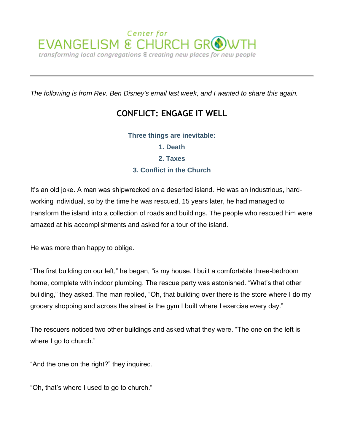

*The following is from Rev. Ben Disney's email last week, and I wanted to share this again.*

# **CONFLICT: ENGAGE IT WELL**

# **Three things are inevitable:**

**1. Death 2. Taxes 3. Conflict in the Church**

It's an old joke. A man was shipwrecked on a deserted island. He was an industrious, hardworking individual, so by the time he was rescued, 15 years later, he had managed to transform the island into a collection of roads and buildings. The people who rescued him were amazed at his accomplishments and asked for a tour of the island.

He was more than happy to oblige.

"The first building on our left," he began, "is my house. I built a comfortable three-bedroom home, complete with indoor plumbing. The rescue party was astonished. "What's that other building," they asked. The man replied, "Oh, that building over there is the store where I do my grocery shopping and across the street is the gym I built where I exercise every day."

The rescuers noticed two other buildings and asked what they were. "The one on the left is where I go to church."

"And the one on the right?" they inquired.

"Oh, that's where I used to go to church."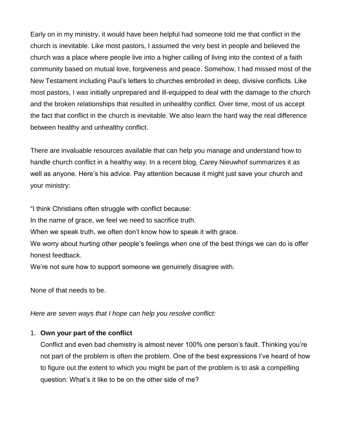Early on in my ministry, it would have been helpful had someone told me that conflict in the church is inevitable. Like most pastors, I assumed the very best in people and believed the church was a place where people live into a higher calling of living into the context of a faith community based on mutual love, forgiveness and peace. Somehow, I had missed most of the New Testament including Paul's letters to churches embroiled in deep, divisive conflicts. Like most pastors, I was initially unprepared and ill-equipped to deal with the damage to the church and the broken relationships that resulted in unhealthy conflict. Over time, most of us accept the fact that conflict in the church is inevitable. We also learn the hard way the real difference between healthy and unhealthy conflict.

There are invaluable resources available that can help you manage and understand how to handle church conflict in a healthy way. In a recent blog, Carey Nieuwhof summarizes it as well as anyone. Here's his advice. Pay attention because it might just save your church and your ministry:

"I think Christians often struggle with conflict because:

In the name of grace, we feel we need to sacrifice truth.

When we speak truth, we often don't know how to speak it with grace.

We worry about hurting other people's feelings when one of the best things we can do is offer honest feedback.

We're not sure how to support someone we genuinely disagree with.

None of that needs to be.

*Here are seven ways that I hope can help you resolve conflict:*

# 1. **Own your part of the conflict**

Conflict and even bad chemistry is almost never 100% one person's fault. Thinking you're not part of the problem is often the problem. One of the best expressions I've heard of how to figure out the extent to which you might be part of the problem is to ask a compelling question: What's it like to be on the other side of me?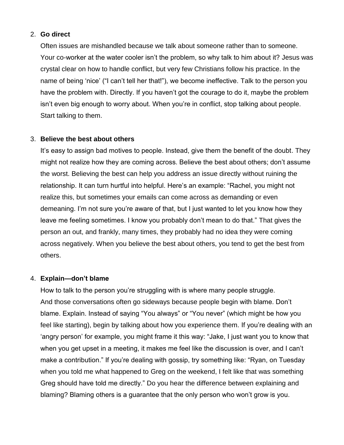#### 2. **Go direct**

Often issues are mishandled because we talk about someone rather than to someone. Your co-worker at the water cooler isn't the problem, so why talk to him about it? Jesus was crystal clear on how to handle conflict, but very few Christians follow his practice. In the name of being 'nice' ("I can't tell her that!"), we become ineffective. Talk to the person you have the problem with. Directly. If you haven't got the courage to do it, maybe the problem isn't even big enough to worry about. When you're in conflict, stop talking about people. Start talking to them.

#### 3. **Believe the best about others**

It's easy to assign bad motives to people. Instead, give them the benefit of the doubt. They might not realize how they are coming across. Believe the best about others; don't assume the worst. Believing the best can help you address an issue directly without ruining the relationship. It can turn hurtful into helpful. Here's an example: "Rachel, you might not realize this, but sometimes your emails can come across as demanding or even demeaning. I'm not sure you're aware of that, but I just wanted to let you know how they leave me feeling sometimes. I know you probably don't mean to do that." That gives the person an out, and frankly, many times, they probably had no idea they were coming across negatively. When you believe the best about others, you tend to get the best from others.

# 4. **Explain—don't blame**

How to talk to the person you're struggling with is where many people struggle. And those conversations often go sideways because people begin with blame. Don't blame. Explain. Instead of saying "You always" or "You never" (which might be how you feel like starting), begin by talking about how you experience them. If you're dealing with an 'angry person' for example, you might frame it this way: "Jake, I just want you to know that when you get upset in a meeting, it makes me feel like the discussion is over, and I can't make a contribution." If you're dealing with gossip, try something like: "Ryan, on Tuesday when you told me what happened to Greg on the weekend, I felt like that was something Greg should have told me directly." Do you hear the difference between explaining and blaming? Blaming others is a guarantee that the only person who won't grow is you.